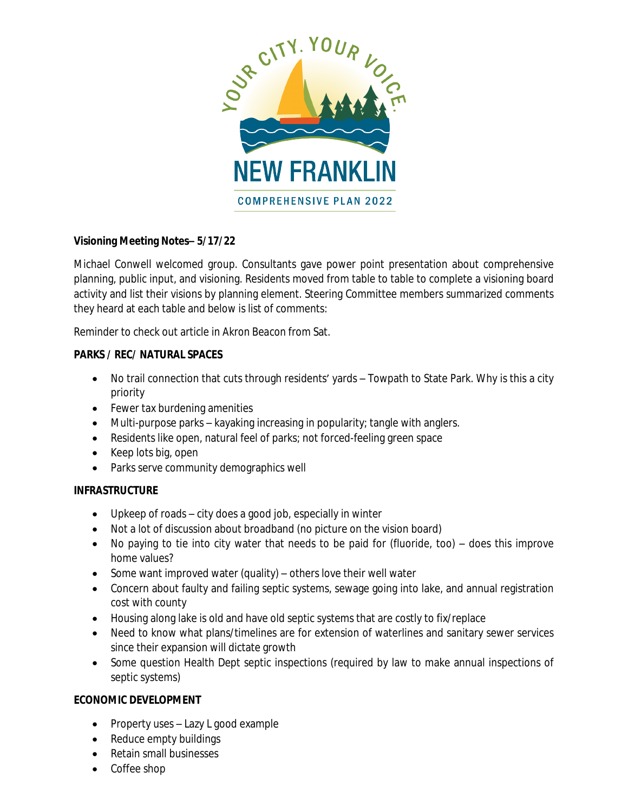

# **Visioning Meeting Notes– 5/17/22**

Michael Conwell welcomed group. Consultants gave power point presentation about comprehensive planning, public input, and visioning. Residents moved from table to table to complete a visioning board activity and list their visions by planning element. Steering Committee members summarized comments they heard at each table and below is list of comments:

Reminder to check out article in *Akron Beacon* from Sat.

## **PARKS / REC/ NATURAL SPACES**

- No trail connection that cuts through residents' yards Towpath to State Park. Why is this a city priority
- Fewer tax burdening amenities
- Multi-purpose parks kayaking increasing in popularity; tangle with anglers.
- Residents like open, natural feel of parks; not forced-feeling green space
- $\bullet$  Keep lots big, open
- Parks serve community demographics well

## **INFRASTRUCTURE**

- Upkeep of roads city does a good job, especially in winter
- Not a lot of discussion about broadband (no picture on the vision board)
- No paying to tie into city water that needs to be paid for (fluoride, too) does this improve home values?
- Some want improved water (quality) others love their well water
- Concern about faulty and failing septic systems, sewage going into lake, and annual registration cost with county
- Housing along lake is old and have old septic systems that are costly to fix/replace
- Need to know what plans/timelines are for extension of waterlines and sanitary sewer services since their expansion will dictate growth
- Some question Health Dept septic inspections (required by law to make annual inspections of septic systems)

## **ECONOMIC DEVELOPMENT**

- $\bullet$  Property uses  $-\text{lazy}$  L good example
- Reduce empty buildings
- Retain small businesses
- Coffee shop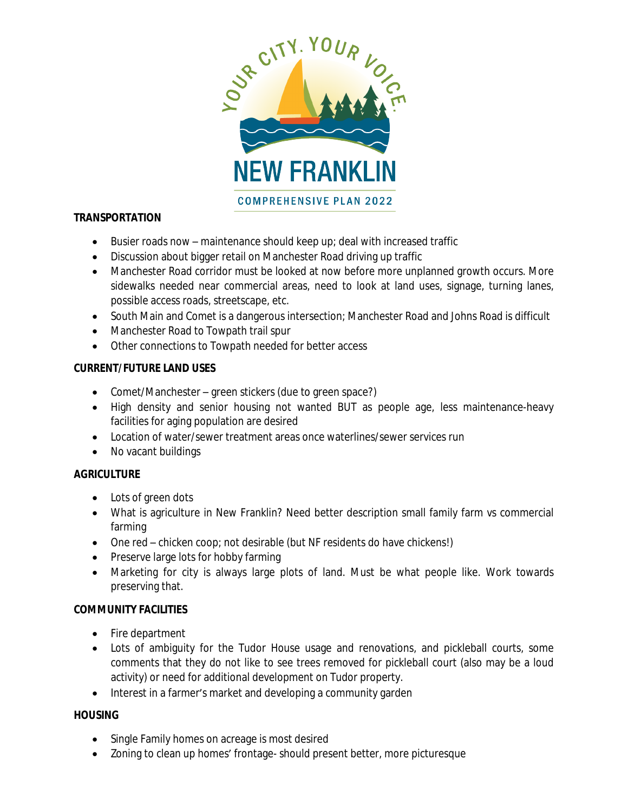

## **TRANSPORTATION**

- Busier roads now maintenance should keep up; deal with increased traffic
- Discussion about bigger retail on Manchester Road driving up traffic
- Manchester Road corridor must be looked at now before more unplanned growth occurs. More sidewalks needed near commercial areas, need to look at land uses, signage, turning lanes, possible access roads, streetscape, etc.
- South Main and Comet is a dangerous intersection; Manchester Road and Johns Road is difficult
- Manchester Road to Towpath trail spur
- Other connections to Towpath needed for better access

## **CURRENT/FUTURE LAND USES**

- Comet/Manchester green stickers (due to green space?)
- High density and senior housing not wanted BUT as people age, less maintenance-heavy facilities for aging population are desired
- Location of water/sewer treatment areas once waterlines/sewer services run
- No vacant buildings

#### **AGRICULTURE**

- Lots of green dots
- What is agriculture in New Franklin? Need better description small family farm vs commercial farming
- One red chicken coop; not desirable (but NF residents do have chickens!)
- Preserve large lots for hobby farming
- Marketing for city is always large plots of land. Must be what people like. Work towards preserving that.

## **COMMUNITY FACILITIES**

- Fire department
- Lots of ambiguity for the Tudor House usage and renovations, and pickleball courts, some comments that they do not like to see trees removed for pickleball court (also may be a loud activity) or need for additional development on Tudor property.
- Interest in a farmer's market and developing a community garden

#### **HOUSING**

- Single Family homes on acreage is most desired
- Zoning to clean up homes' frontage- should present better, more picturesque